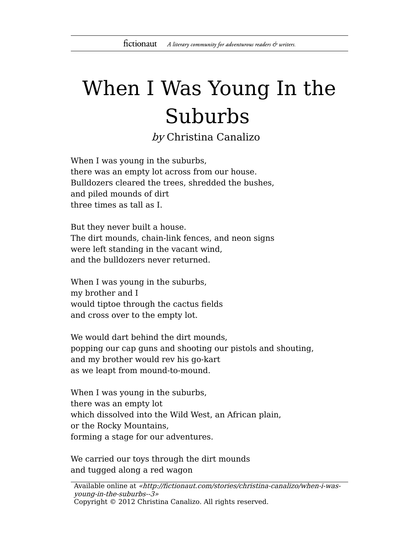## When I Was Young In the Suburbs

by Christina Canalizo

When I was young in the suburbs, there was an empty lot across from our house. Bulldozers cleared the trees, shredded the bushes, and piled mounds of dirt three times as tall as I.

But they never built a house. The dirt mounds, chain-link fences, and neon signs were left standing in the vacant wind, and the bulldozers never returned.

When I was young in the suburbs, my brother and I would tiptoe through the cactus fields and cross over to the empty lot.

We would dart behind the dirt mounds, popping our cap guns and shooting our pistols and shouting, and my brother would rev his go-kart as we leapt from mound-to-mound.

When I was young in the suburbs, there was an empty lot which dissolved into the Wild West, an African plain, or the Rocky Mountains, forming a stage for our adventures.

We carried our toys through the dirt mounds and tugged along a red wagon

Available online at «http://fictionaut.com/stories/christina-canalizo/when-i-wasyoung-in-the-suburbs--3» Copyright © 2012 Christina Canalizo. All rights reserved.